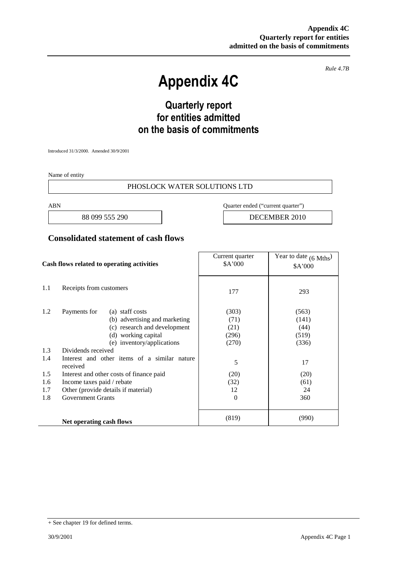*Rule 4.7B*

# **Appendix 4C**

# **Quarterly report for entities admitted on the basis of commitments**

Introduced 31/3/2000. Amended 30/9/2001

Name of entity

#### PHOSLOCK WATER SOLUTIONS LTD

ABN Quarter ended ("current quarter")

88 099 555 290 **DECEMBER 2010** 

#### **Consolidated statement of cash flows**

| Cash flows related to operating activities |                                                          | Current quarter<br>\$A'000 | Year to date $(6 \text{ Mths})$<br>\$A'000 |
|--------------------------------------------|----------------------------------------------------------|----------------------------|--------------------------------------------|
| 1.1                                        | Receipts from customers                                  | 177                        | 293                                        |
| 1.2                                        | Payments for<br>(a) staff costs                          | (303)                      | (563)                                      |
|                                            | (b) advertising and marketing                            | (71)                       | (141)                                      |
|                                            | (c) research and development                             | (21)                       | (44)                                       |
|                                            | (d) working capital                                      | (296)                      | (519)                                      |
|                                            | (e) inventory/applications                               | (270)                      | (336)                                      |
| 1.3                                        | Dividends received                                       |                            |                                            |
| 1.4                                        | Interest and other items of a similar nature<br>received | 5                          | 17                                         |
| 1.5                                        | Interest and other costs of finance paid                 | (20)                       | (20)                                       |
| 1.6                                        | Income taxes paid / rebate                               | (32)                       | (61)                                       |
| 1.7                                        | Other (provide details if material)                      | 12                         | 24                                         |
| 1.8                                        | <b>Government Grants</b>                                 | $\Omega$                   | 360                                        |
|                                            | Net operating cash flows                                 | (819)                      | (990)                                      |

<sup>+</sup> See chapter 19 for defined terms.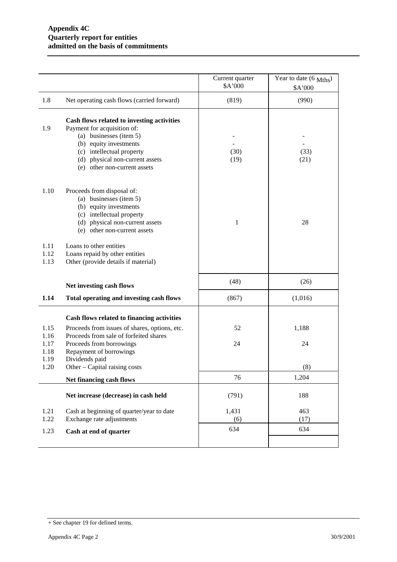|                      |                                                                                                                                                                                                                                | Current quarter<br>\$A'000 | Year to date (6 Mths)<br>\$A'000 |
|----------------------|--------------------------------------------------------------------------------------------------------------------------------------------------------------------------------------------------------------------------------|----------------------------|----------------------------------|
| 1.8                  | Net operating cash flows (carried forward)                                                                                                                                                                                     | (819)                      | (990)                            |
| 1.9                  | Cash flows related to investing activities<br>Payment for acquisition of:<br>(a) businesses (item 5)<br>(b) equity investments<br>(c) intellectual property<br>(d) physical non-current assets<br>(e) other non-current assets | (30)<br>(19)               | (33)<br>(21)                     |
| 1.10                 | Proceeds from disposal of:<br>(a) businesses (item 5)<br>(b) equity investments<br>(c) intellectual property<br>(d) physical non-current assets<br>(e) other non-current assets                                                | $\mathbf{1}$               | 28                               |
| 1.11<br>1.12<br>1.13 | Loans to other entities<br>Loans repaid by other entities<br>Other (provide details if material)                                                                                                                               |                            |                                  |
|                      | Net investing cash flows                                                                                                                                                                                                       | (48)                       | (26)                             |
| 1.14                 | Total operating and investing cash flows                                                                                                                                                                                       | (867)                      | (1,016)                          |
|                      | Cash flows related to financing activities                                                                                                                                                                                     |                            |                                  |
| 1.15<br>1.16         | Proceeds from issues of shares, options, etc.<br>Proceeds from sale of forfeited shares                                                                                                                                        | 52                         | 1,188                            |
| 1.17<br>1.18<br>1.19 | Proceeds from borrowings<br>Repayment of borrowings<br>Dividends paid                                                                                                                                                          | 24                         | 24                               |
| 1.20                 | Other - Capital raising costs                                                                                                                                                                                                  |                            | (8)                              |
|                      | Net financing cash flows                                                                                                                                                                                                       | 76                         | 1,204                            |
|                      | Net increase (decrease) in cash held                                                                                                                                                                                           | (791)                      | 188                              |
| 1.21                 | Cash at beginning of quarter/year to date                                                                                                                                                                                      | 1,431                      | 463                              |
| 1.22<br>1.23         | Exchange rate adjustments<br>Cash at end of quarter                                                                                                                                                                            | (6)<br>634                 | (17)<br>634                      |
|                      |                                                                                                                                                                                                                                |                            |                                  |

<sup>+</sup> See chapter 19 for defined terms.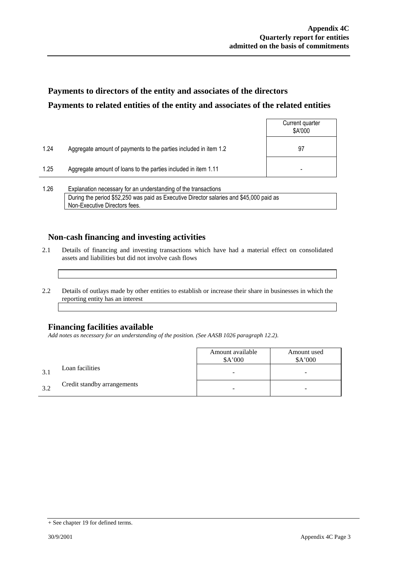## **Payments to directors of the entity and associates of the directors Payments to related entities of the entity and associates of the related entities**

|      |                                                                  | Current quarter<br>\$A'000 |
|------|------------------------------------------------------------------|----------------------------|
| 1.24 | Aggregate amount of payments to the parties included in item 1.2 | 97                         |
| 1.25 | Aggregate amount of loans to the parties included in item 1.11   | -                          |
|      |                                                                  |                            |

1.26 Explanation necessary for an understanding of the transactions During the period \$52,250 was paid as Executive Director salaries and \$45,000 paid as Non-Executive Directors fees.

### **Non-cash financing and investing activities**

- 2.1 Details of financing and investing transactions which have had a material effect on consolidated assets and liabilities but did not involve cash flows
- 2.2 Details of outlays made by other entities to establish or increase their share in businesses in which the reporting entity has an interest

### **Financing facilities available**

*Add notes as necessary for an understanding of the position. (See AASB 1026 paragraph 12.2).*

|     |                             | Amount available<br>\$A'000 | Amount used<br>\$A'000 |
|-----|-----------------------------|-----------------------------|------------------------|
| 3.1 | Loan facilities             | -                           | -                      |
| 39  | Credit standby arrangements |                             | -                      |

<sup>+</sup> See chapter 19 for defined terms.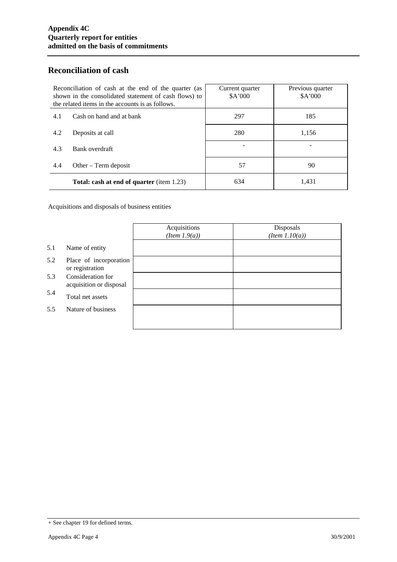### **Reconciliation of cash**

| Reconciliation of cash at the end of the quarter (as<br>shown in the consolidated statement of cash flows) to<br>the related items in the accounts is as follows. |                                                  | Current quarter<br>\$A'000 | Previous quarter<br>\$A'000 |
|-------------------------------------------------------------------------------------------------------------------------------------------------------------------|--------------------------------------------------|----------------------------|-----------------------------|
| 4.1                                                                                                                                                               | Cash on hand and at bank                         | 297                        | 185                         |
| 4.2                                                                                                                                                               | Deposits at call                                 | 280                        | 1,156                       |
| 4.3                                                                                                                                                               | Bank overdraft                                   |                            |                             |
| 4.4                                                                                                                                                               | Other $-$ Term deposit                           | 57                         | 90                          |
|                                                                                                                                                                   | <b>Total: cash at end of quarter</b> (item 1.23) | 634                        | 1,431                       |

Acquisitions and disposals of business entities

|     |                                              | Acquisitions<br>$(Item\ 1.9(a))$ | Disposals<br>$(Item\ 1.10(a))$ |
|-----|----------------------------------------------|----------------------------------|--------------------------------|
| 5.1 | Name of entity                               |                                  |                                |
| 5.2 | Place of incorporation<br>or registration    |                                  |                                |
| 5.3 | Consideration for<br>acquisition or disposal |                                  |                                |
| 5.4 | Total net assets                             |                                  |                                |
| 5.5 | Nature of business                           |                                  |                                |
|     |                                              |                                  |                                |

<sup>+</sup> See chapter 19 for defined terms.